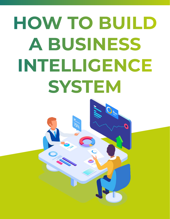# **HOW TO BUILD A BUSINESS INTELLIGENCE SYSTEM**

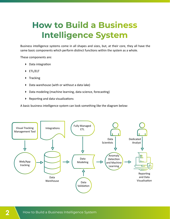#### **How to Build a Business Intelligence System**

Business intelligence systems come in all shapes and sizes, but, at their core, they all have the same basic components which perform distinct functions within the system as a whole.

These components are:

- ▶ Data integration
- ETL/ELT
- ▶ Tracking
- ▶ Data warehouse (with or without a data lake)
- Data modeling (machine learning, data science, forecasting)
- Reporting and data visualizations

A basic business intelligence system can look something like the diagram below:

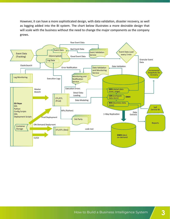However, it can have a more sophisticated design, with data validation, disaster recovery, as well as logging added into the BI system. The chart below illustrates a more desirable design that will scale with the business without the need to change the major components as the company grows.

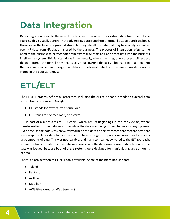### **Data Integration**

Data integration refers to the need for a business to connect to or extract data from the outside sources. This is usually done with the advertising data from the platforms like Google and Facebook. However, as the business grows, it strives to integrate all the data that may have analytical value, even HR data from HR platforms used by the business. The process of integration refers to the need of the business to extract data from external systems and bring that data into the business intelligence system. This is often done incrementally, where the integration process will extract the data from the external provider, usually data covering the last 24 hours, bring that data into the data warehouse, and merge that data into historical data from the same provider already stored in the data warehouse.

## **ETL/ELT**

The ETL/ELT process defines all processes, including the API calls that are made to external data stores, like Facebook and Google.

- ETL stands for extract, transform, load.
- ELT stands for extract, load, transform.

ETL is part of a more classical BI system, which has its beginnings in the early 2000s, where transformation of the data was done while the data was being moved between many systems. Over time, as the data sizes grew, transforming the data on the fly meant that mechanisms that were responsible for data transfer needed to have stronger computational resources to process large amounts of data. This was not scalable, and many companies switched to the ELT approach, where the transformation of the data was done inside the data warehouse or data lake after the data was loaded, because both of these systems were designed for manipulating large amounts of data.

There is a proliferation of ETL/ELT tools available. Some of the more popular are:

- ▶ Talend
- Pentaho
- Airflow
- ▶ Matillion
- ▶ AWS Glue (Amazon Web Services)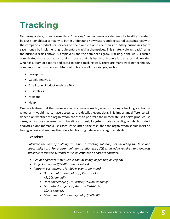# **Tracking**

Gathering of data, often referred to as "tracking" has become a key element of a healthy BI system because it enables a company to better understand how visitors and registered users interact with the company's products or services on their website or inside their app. Many businesses try to save money by implementing rudimentary tracking themselves. This strategy always backfires as the business scales above 50 employees and the data needs grow. Tracking, done well, is such a complicated and resource-consuming process that it is best to outsource it to an external provider, who has a team of experts dedicated to doing tracking well. There are many tracking technology companies that provide a multitude of options in all price ranges, such as:

- ▶ Snowplow
- Google Analytics
- Amplitude (Product Analytics Tool)
- $\blacktriangleright$  Kissmetrics
- Mixpanel
- $\blacktriangleright$  Heap

One key feature that the business should always consider, when choosing a tracking solution, is whether it would like to have access to the detailed event data. This important difference will depend on whether the organization chooses to prioritize the immediate, self-serve product use cases, or is more concerned with building a robust, long-term data capability, of which product analytics is one (of many) use cases. If the latter is the case, then the organization should insist on having access and keeping their detailed tracking data as a strategic capability.

#### **Exercise:**

*Calculate the cost of building an in-house tracking solution, not including the time and opportunity cost. For a bare minimum solution (i.e., SQL knowledge required and analysts available to use the system!) this is an estimate on costs to consider:* 

- *Senior engineers (\$100-\$200k annual salary, depending on region)*
- *Project manager (\$60-80k annual salary)*
- *Platform cost estimate for 100M events per month:* 
	- *Data visualization tool (e.g., Periscope) +\$100k annually*
	- *Data collector (e.g., mParticle) +\$100k annually*
	- *SQL data storage (e.g., Amazon Redshift) +\$20k annually*
	- *Minimum cost (monetary only): \$500.000*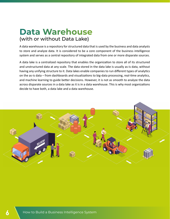#### **Data Warehouse**  (with or without Data Lake)

A data warehouse is a repository for structured data that is used by the business and data analysts to store and analyze data. It is considered to be a core component of the business intelligence system and serves as a central repository of integrated data from one or more disparate sources.

A data lake is a centralized repository that enables the organization to store all of its structured and unstructured data at any scale. The data stored in the data lake is usually as-is data, without having any unifying structure to it. Data lakes enable companies to run different types of analytics on the as-is data – from dashboards and visualizations to big-data processing, real-time analytics, and machine learning to guide better decisions. However, it is not as smooth to analyze the data across disparate sources in a data lake as it is in a data warehouse. This is why most organizations decide to have both, a data lake and a data warehouse.

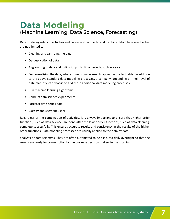#### **Data Modeling** (Machine Learning, Data Science, Forecasting)

Data modeling refers to activities and processes that model and combine data. These may be, but are not limited to:

- Cleaning and sanitizing the data
- ▶ De-duplication of data
- Aggregating of data and rolling it up into time periods, such as years
- De-normalising the data, where dimensional elements appear in the fact tables In addition to the above standard data modeling processes, a company, depending on their level of data maturity, can choose to add these additional data modeling processes:
- $\blacktriangleright$  Run machine learning algorithms
- ▶ Conduct data science experiments
- ▶ Forecast time-series data
- ▶ Classify and segment users

Regardless of the combination of activities, it is always important to ensure that higher-order functions, such as data science, are done after the lower-order functions, such as data cleaning, complete successfully. This ensures accurate results and consistency in the results of the higher order functions. Data modeling processes are usually applied to the data by data

analysts or data scientists. They are often automated to be executed daily overnight so that the results are ready for consumption by the business decision makers in the morning.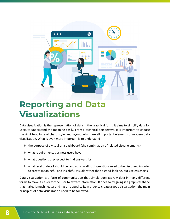

#### **Reporting and Data Visualizations**

Data visualization is the representation of data in the graphical form. It aims to simplify data for users to understand the meaning easily. From a technical perspective, it is important to choose the right tool, type of chart, style, and layout, which are all important elements of modern data visualization. What is even more important is to understand

- $\triangleright$  the purpose of a visual or a dashboard (the combination of related visual elements)
- what requirements business users have
- $\blacktriangleright$  what questions they expect to find answers for
- $\blacktriangleright$  what level of detail should be and so on all such questions need to be discussed in order to create meaningful and insightful visuals rather than a good-looking, but useless charts.

Data visualization is a form of communication that simply portrays raw data in many different forms to make it easier for the user to extract information. It does so by giving it a graphical shape that makes it much neater and has an appeal to it. In order to create a good visualization, the main principles of data visualization need to be followed.